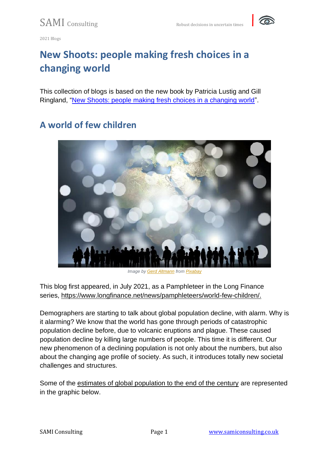

# **New Shoots: people making fresh choices in a changing world**

This collection of blogs is based on the new book by Patricia Lustig and Gill Ringland, ["New Shoots: people making fresh choices in a changing world"](https://global-megatrends.com/).

#### **A world of few children**



*Image by [Gerd Altmann](https://pixabay.com/users/geralt-9301/?utm_source=link-attribution&utm_medium=referral&utm_campaign=image&utm_content=567563) from [Pixabay](https://pixabay.com/?utm_source=link-attribution&utm_medium=referral&utm_campaign=image&utm_content=567563)*

This blog first appeared, in July 2021, as a Pamphleteer in the Long Finance series, [https://www.longfinance.net/news/pamphleteers/world-few-children/.](https://www.longfinance.net/news/pamphleteers/world-few-children/)

Demographers are starting to talk about global population decline, with alarm. Why is it alarming? We know that the world has gone through periods of catastrophic population decline before, due to volcanic eruptions and plague. These caused population decline by killing large numbers of people. This time it is different. Our new phenomenon of a declining population is not only about the numbers, but also about the changing age profile of society. As such, it introduces totally new societal challenges and structures.

Some of the [estimates of global population to the end of the century](https://overpopulation-project.com/review-of-empty-planet-the-shock-of-global-population-decline-by-darrell-bricker-and-john-ibbitson-part-1/) are represented in the graphic below.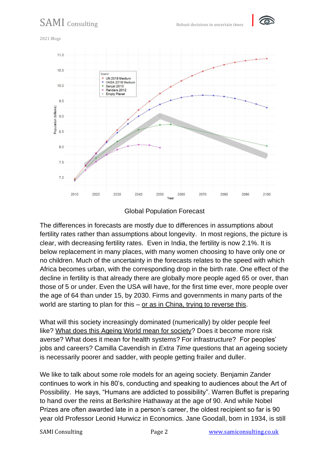

2021 Blogs



#### Global Population Forecast

The differences in forecasts are mostly due to differences in assumptions about fertility rates rather than assumptions about longevity. In most regions, the picture is clear, with decreasing fertility rates. Even in India, the fertility is now 2.1%. It is below replacement in many places, with many women choosing to have only one or no children. Much of the uncertainty in the forecasts relates to the speed with which Africa becomes urban, with the corresponding drop in the birth rate. One effect of the decline in fertility is that already there are globally more people aged 65 or over, than those of 5 or under. Even the USA will have, for the first time ever, more people over the age of 64 than under 15, by 2030. Firms and governments in many parts of the world are starting to plan for this – or as in China, [trying to reverse this.](https://www.cnbc.com/2021/05/31/china-announces-three-child-policy-in-a-major-policy-shift.html)

What will this society increasingly dominated (numerically) by older people feel like? [What does this Ageing World mean for society?](https://harpercollins.co.uk/products/extra-time-10-lessons-for-an-ageing-world-camilla-cavendish?variant=32558095499342) Does it become more risk averse? What does it mean for health systems? For infrastructure? For peoples' jobs and careers? Camilla Cavendish in *Extra Time* questions that an ageing society is necessarily poorer and sadder, with people getting frailer and duller.

We like to talk about some role models for an ageing society. Benjamin Zander continues to work in his 80's, conducting and speaking to audiences about the Art of Possibility. He says, "Humans are addicted to possibility". Warren Buffet is preparing to hand over the reins at Berkshire Hathaway at the age of 90. And while Nobel Prizes are often awarded late in a person's career, the oldest recipient so far is 90 year old Professor Leonid Hurwicz in Economics. Jane Goodall, born in 1934, is still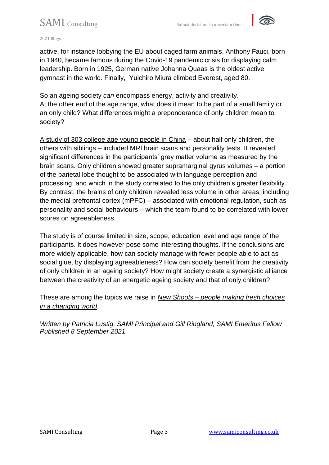

2021 Blogs

active, for instance lobbying the EU about caged farm animals. Anthony Fauci, born in 1940, became famous during the Covid-19 pandemic crisis for displaying calm leadership. Born in 1925, German native Johanna Quaas is the oldest active gymnast in the world. Finally, Yuichiro Miura climbed Everest, aged 80.

So an ageing society *can* encompass energy, activity and creativity. At the other end of the age range, what does it mean to be part of a small family or an only child? What differences might a preponderance of only children mean to society?

[A study of 303 college age young people in China](https://www.sciencealert.com/scientists-have-discovered-that-being-an-only-child-affects-brain-structure) – about half only children, the others with siblings – included MRI brain scans and personality tests. It revealed significant differences in the participants' grey matter volume as measured by the brain scans. Only children showed greater supramarginal gyrus volumes – a portion of the parietal lobe thought to be associated with language perception and processing, and which in the study correlated to the only children's greater flexibility. By contrast, the brains of only children revealed less volume in other areas, including the medial prefrontal cortex (mPFC) – associated with emotional regulation, such as personality and social behaviours – which the team found to be correlated with lower scores on agreeableness.

The study is of course limited in size, scope, education level and age range of the participants. It does however pose some interesting thoughts. If the conclusions are more widely applicable, how can society manage with fewer people able to act as social glue, by displaying agreeableness? How can society benefit from the creativity of only children in an ageing society? How might society create a synergistic alliance between the creativity of an energetic ageing society and that of only children?

These are among the topics we raise in *New Shoots – [people making fresh choices](http://www.global-megatrends.com/)  [in a changing world.](http://www.global-megatrends.com/)*

*Written by Patricia Lustig, SAMI Principal and Gill Ringland, SAMI Emeritus Fellow Published 8 September 2021*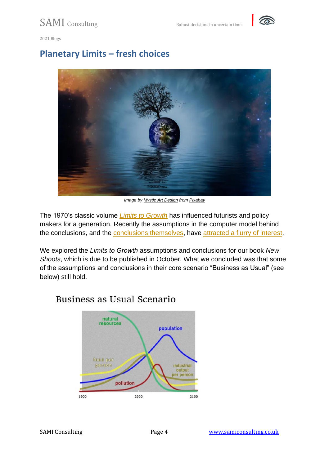

#### **Planetary Limits – fresh choices**



*Image by [Mystic Art Design](https://pixabay.com/users/mysticsartdesign-322497/?utm_source=link-attribution&utm_medium=referral&utm_campaign=image&utm_content=629208) from [Pixabay](https://pixabay.com/?utm_source=link-attribution&utm_medium=referral&utm_campaign=image&utm_content=629208)*

The 1970's classic volume *[Limits to Growth](https://www.researchgate.net/publication/280197273_Limits_to_Growth_The_30-Year_Update20051Donella_Meadows_Jorgen_Randers_and_Dennis_Meadows_Limits_to_Growth_The_30-Year_Update_White_River_Junction_VT_Chelsea_Green_2004_368_pp_3500)* has influenced futurists and policy makers for a generation. Recently the assumptions in the computer model behind the conclusions, and the [conclusions themselves,](https://advisory.kpmg.us/articles/2021/limits-to-growth.html) have [attracted a flurry of interest.](https://www.resilience.org/stories/2021-08-16/revisiting-the-limits-to-growth/)

We explored the *Limits to Growth* assumptions and conclusions for our book *New Shoots*, which is due to be published in October. What we concluded was that some of the assumptions and conclusions in their core scenario "Business as Usual" (see below) still hold.

#### Business as Usual Scenario

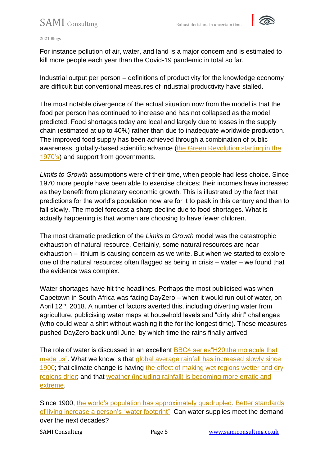

2021 Blogs

For instance pollution of air, water, and land is a major concern and is estimated to kill more people each year than the Covid-19 pandemic in total so far.

Industrial output per person – definitions of productivity for the knowledge economy are difficult but conventional measures of industrial productivity have stalled.

The most notable divergence of the actual situation now from the model is that the food per person has continued to increase and has not collapsed as the model predicted. Food shortages today are local and largely due to losses in the supply chain (estimated at up to 40%) rather than due to inadequate worldwide production. The improved food supply has been achieved through a combination of public awareness, globally-based scientific advance [\(the Green Revolution starting in the](https://www.ncbi.nlm.nih.gov/pmc/articles/PMC3411969)  [1970's\)](https://www.ncbi.nlm.nih.gov/pmc/articles/PMC3411969) and support from governments.

*Limits to Growth* assumptions were of their time, when people had less choice. Since 1970 more people have been able to exercise choices; their incomes have increased as they benefit from planetary economic growth. This is illustrated by the fact that predictions for the world's population now are for it to peak in this century and then to fall slowly. The model forecast a sharp decline due to food shortages. What is actually happening is that women are choosing to have fewer children.

The most dramatic prediction of the *Limits to Growth* model was the catastrophic exhaustion of natural resource. Certainly, some natural resources are near exhaustion – lithium is causing concern as we write. But when we started to explore one of the natural resources often flagged as being in crisis – water – we found that the evidence was complex.

Water shortages have hit the headlines. Perhaps the most publicised was when Capetown in South Africa was facing DayZero – when it would run out of water, on April 12<sup>th</sup>, 2018. A number of factors averted this, including diverting water from agriculture, publicising water maps at household levels and "dirty shirt" challenges (who could wear a shirt without washing it the for the longest time). These measures pushed DayZero back until June, by which time the rains finally arrived.

The role of water is discussed in an excellent [BBC4 series"H20:the molecule that](https://www.bbc.co.uk/programmes/m000z2ct)  [made us".](https://www.bbc.co.uk/programmes/m000z2ct) What we know is that global average rainfall has increased slowly since [1900;](https://www.epa.gov/climate-indicators/climate-change-indicators-us-and-global-precipitation) that climate change is having the effect of making wet regions wetter and dry [regions drier;](https://www.southampton.ac.uk/news/2016/11/water-cycle-study.page) and that [weather \(including rainfall\) is becoming more erratic and](https://www.carbonbrief.org/hotter-and-wetter-extremes-how-scientists-know-our-weathers-getting-more-erratic-as-climate-change-bites)  [extreme.](https://www.carbonbrief.org/hotter-and-wetter-extremes-how-scientists-know-our-weathers-getting-more-erratic-as-climate-change-bites)

Since 1900, [the world's population has approximately quadrupled.](https://www.mvorganizing.org/what-was-the-world-population-in-1900/) Better standards [of living increase a person's "water footprint".](https://www.theworldcounts.com/challenges/planet-earth/freshwater/global-water-footprint/story) Can water supplies meet the demand over the next decades?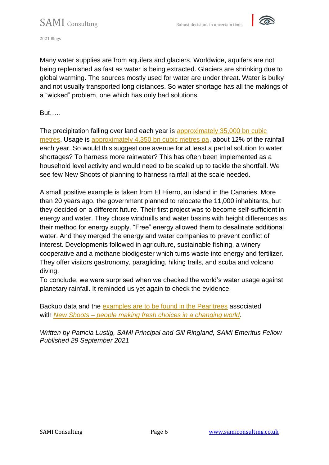

Many water supplies are from aquifers and glaciers. Worldwide, aquifers are not being replenished as fast as water is being extracted. Glaciers are shrinking due to global warming. The sources mostly used for water are under threat. Water is bulky and not usually transported long distances. So water shortage has all the makings of a "wicked" problem, one which has only bad solutions.

But…..

The precipitation falling over land each year is [approximately 35,000 bn cubic](http://www.physicalgeography.net/fundamentals/8g.html)  [metres.](http://www.physicalgeography.net/fundamentals/8g.html) Usage is [approximately 4,350 bn cubic metres pa,](https://www.statista.com/statistics/216527/global-demand-for-water/) about 12% of the rainfall each year. So would this suggest one avenue for at least a partial solution to water shortages? To harness more rainwater? This has often been implemented as a household level activity and would need to be scaled up to tackle the shortfall. We see few New Shoots of planning to harness rainfall at the scale needed.

A small positive example is taken from El Hierro, an island in the Canaries. More than 20 years ago, the government planned to relocate the 11,000 inhabitants, but they decided on a different future. Their first project was to become self-sufficient in energy and water. They chose windmills and water basins with height differences as their method for energy supply. "Free" energy allowed them to desalinate additional water. And they merged the energy and water companies to prevent conflict of interest. Developments followed in agriculture, sustainable fishing, a winery cooperative and a methane biodigester which turns waste into energy and fertilizer. They offer visitors gastronomy, paragliding, hiking trails, and scuba and volcano diving.

To conclude, we were surprised when we checked the world's water usage against planetary rainfall. It reminded us yet again to check the evidence.

Backup data and the [examples are to be found in the Pearltrees](https://www.pearltrees.com/t/new-shoots/id22702838) associated with *New Shoots – [people making fresh choices in a changing world.](https://global-megatrends.com/)*

*Written by Patricia Lustig, SAMI Principal and Gill Ringland, SAMI Emeritus Fellow Published 29 September 2021*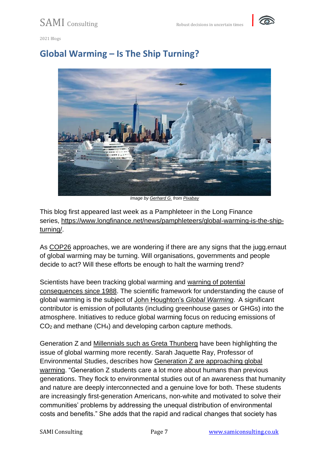



#### **Global Warming – Is The Ship Turning?**



*Image by [Gerhard G.](https://pixabay.com/users/blende12-201217/?utm_source=link-attribution&utm_medium=referral&utm_campaign=image&utm_content=2408651) from [Pixabay](https://pixabay.com/?utm_source=link-attribution&utm_medium=referral&utm_campaign=image&utm_content=2408651)*

This blog first appeared last week as a Pamphleteer in the Long Finance series, [https://www.longfinance.net/news/pamphleteers/global-warming-is-the-ship](https://www.longfinance.net/news/pamphleteers/global-warming-is-the-ship-turning/)[turning/.](https://www.longfinance.net/news/pamphleteers/global-warming-is-the-ship-turning/)

As [COP26](https://ukcop26.org/) approaches, we are wondering if there are any signs that the jugg.ernaut of global warming may be turning. Will organisations, governments and people decide to act? Will these efforts be enough to halt the warming trend?

Scientists have been tracking global warming and [warning of potential](https://www.ipcc.ch/about/history/)  [consequences since 1988.](https://www.ipcc.ch/about/history/) The scientific framework for understanding the cause of global warming is the subject of [John Houghton's](https://www.cambridge.org/gb/academic/subjects/earth-and-environmental-science/climatology-and-climate-change/global-warming-complete-briefing-5th-edition?format=HB&isbn=9781107091672) *Global Warming*. *.*A significant contributor is emission of pollutants (including greenhouse gases or GHGs) into the atmosphere. Initiatives to reduce global warming focus on reducing emissions of CO<sup>2</sup> and methane (CH4) and developing carbon capture methods.

Generation Z and [Millennials such as Greta Thunberg](https://www.bbc.co.uk/news/world-europe-49918719) have been highlighting the issue of global warming more recently. Sarah Jaquette Ray, Professor of Environmental Studies, describes how [Generation Z are approaching global](https://fortune.com/author/sarah-jaquette-ray/)  [warming.](https://fortune.com/author/sarah-jaquette-ray/) "Generation Z students care a lot more about humans than previous generations. They flock to environmental studies out of an awareness that humanity and nature are deeply interconnected and a genuine love for both. These students are increasingly first-generation Americans, non-white and motivated to solve their communities' problems by addressing the unequal distribution of environmental costs and benefits." She adds that the rapid and radical changes that society has

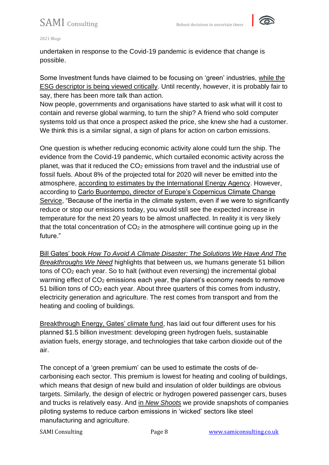

2021 Blogs

undertaken in response to the Covid-19 pandemic is evidence that change is possible.

Some Investment funds have claimed to be focusing on 'green' industries, [while the](https://www.longfinance.net/news/pamphleteers/esg-fad-or-value-creator/)  [ESG descriptor is being viewed critically.](https://www.longfinance.net/news/pamphleteers/esg-fad-or-value-creator/) Until recently, however, it is probably fair to say, there has been more talk than action.

Now people, governments and organisations have started to ask what will it cost to contain and reverse global warming, to turn the ship? A friend who sold computer systems told us that once a prospect asked the price, she knew she had a customer. We think this is a similar signal, a sign of plans for action on carbon emissions.

One question is whether reducing economic activity alone could turn the ship. The evidence from the Covid-19 pandemic, which curtailed economic activity across the planet, was that it reduced the CO<sup>2</sup> emissions from travel and the industrial use of fossil fuels. About 8% of the projected total for 2020 will never be emitted into the atmosphere, [according to estimates by the International Energy Agency.](https://www.carbonbrief.org/iea-coronavirus-impact-on-co2-emissions-six-times-larger-than-financial-crisis) However, according to [Carlo Buontempo, director of Europe's Copernicus Climate Change](https://www.bloomberg.com/graphics/2020-how-coronavirus-impacts-climate-change/)  [Service,](https://www.bloomberg.com/graphics/2020-how-coronavirus-impacts-climate-change/) "Because of the inertia in the climate system, even if we were to significantly reduce or stop our emissions today, you would still see the expected increase in temperature for the next 20 years to be almost unaffected. In reality it is very likely that the total concentration of  $CO<sub>2</sub>$  in the atmosphere will continue going up in the future."

Bill Gates' book *[How To Avoid A Climate Disaster: The Solutions We Have And The](https://www.amazon.co.uk/How-Avoid-Climate-Disaster-Breakthroughs/dp/0241448301)  [Breakthroughs We Need](https://www.amazon.co.uk/How-Avoid-Climate-Disaster-Breakthroughs/dp/0241448301)* highlights that between us, we humans generate 51 billion tons of CO<sup>2</sup> each year. So to halt (without even reversing) the incremental global warming effect of CO<sub>2</sub> emissions each year, the planet's economy needs to remove 51 billion tons of CO<sup>2</sup> each year. About three quarters of this comes from industry, electricity generation and agriculture. The rest comes from transport and from the heating and cooling of buildings.

[Breakthrough Energy, Gates' climate fund,](applewebdata://32CDCE2C-9028-48DD-8604-B210058B0210/Bill%20Gates%20wants%20in%20on%20Congress%E2%80%99%20big%20climate%20infrastructure%20push%20-%20The%20Verge) has laid out four different uses for his planned \$1.5 billion investment: developing green hydrogen fuels, sustainable aviation fuels, energy storage, and technologies that take carbon dioxide out of the air.

The concept of a 'green premium' can be used to estimate the costs of decarbonising each sector. This premium is lowest for heating and cooling of buildings, which means that design of new build and insulation of older buildings are obvious targets. Similarly, the design of electric or hydrogen powered passenger cars, buses and trucks is relatively easy. And in *[New Shoots](https://www.amazon.co.uk/New-Shoots-People-choices-changing-ebook/dp/B09J8RJ4MK/ref=sr_1_1?dchild=1&keywords=new+shoots+lustig&qid=1634730806&sr=8-1)* we provide snapshots of companies piloting systems to reduce carbon emissions in 'wicked' sectors like steel manufacturing and agriculture.